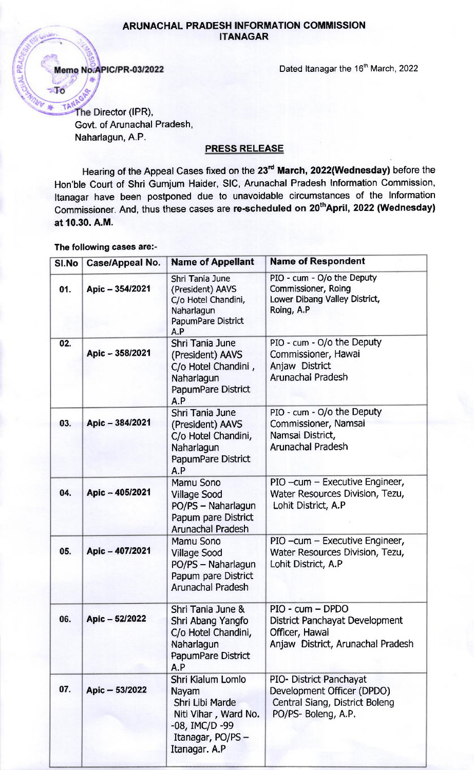## ARUNACHAL PRADESH INFORMATION COMMISSION ITANAGAR

Memo No.APIC/PR-03/2022

 $\blacksquare$ 

Dated Itanagar the 16<sup>th</sup> March, 2022

TAN The Director (IPR), Govt. of Arunachal Pradesh, Naharlagun, A.P.

## PRESS RELEASE

Hearing of the Appeal Cases fixed on the 23<sup>rd</sup> March, 2022(Wednesday) before the Hon'ble Court of Shri Gumjum Haider, SlC, Arunachal Pradesh Information Commission, Itanagar have been postponed due to unavoidable circumstances of the Information Commissioner. And, thus these cases are re-scheduled on 20<sup>th</sup>April, 2022 (Wednesday) at 10.30. A.M.

## The following cases are:-

| SI.No | <b>Case/Appeal No.</b> | <b>Name of Appellant</b>                                                                                                      | <b>Name of Respondent</b>                                                                                      |
|-------|------------------------|-------------------------------------------------------------------------------------------------------------------------------|----------------------------------------------------------------------------------------------------------------|
| 01.   | Apic - 354/2021        | Shri Tania June<br>(President) AAVS<br>C/o Hotel Chandini,<br>Naharlagun<br>PapumPare District<br>A.P                         | PIO - cum - O/o the Deputy<br>Commissioner, Roing<br>Lower Dibang Valley District,<br>Roing, A.P               |
| 02.   | Apic - 358/2021        | Shri Tania June<br>(President) AAVS<br>C/o Hotel Chandini,<br>Naharlagun<br>PapumPare District<br>A.P                         | PIO - cum - O/o the Deputy<br>Commissioner, Hawai<br>Anjaw District<br><b>Arunachal Pradesh</b>                |
| 03.   | Apic - 384/2021        | Shri Tania June<br>(President) AAVS<br>C/o Hotel Chandini,<br>Naharlagun<br>PapumPare District<br>A.P                         | PIO - cum - O/o the Deputy<br>Commissioner, Namsai<br>Namsai District,<br><b>Arunachal Pradesh</b>             |
| 04.   | Apic - 405/2021        | Mamu Sono<br><b>Village Sood</b><br>PO/PS - Naharlagun<br>Papum pare District<br><b>Arunachal Pradesh</b>                     | PIO -cum - Executive Engineer,<br>Water Resources Division, Tezu,<br>Lohit District, A.P                       |
| 05.   | Apic - 407/2021        | Mamu Sono<br><b>Village Sood</b><br>PO/PS - Naharlagun<br>Papum pare District<br><b>Arunachal Pradesh</b>                     | PIO - cum - Executive Engineer,<br>Water Resources Division, Tezu,<br>Lohit District, A.P                      |
| 06.   | Apic - 52/2022         | Shri Tania June &<br>Shri Abang Yangfo<br>C/o Hotel Chandini,<br>Naharlagun<br>PapumPare District<br>A.P                      | PIO - cum - DPDO<br>District Panchayat Development<br>Officer, Hawai<br>Anjaw District, Arunachal Pradesh      |
| 07.   | Apic - 53/2022         | Shri Kialum Lomlo<br>Nayam<br>Shri Libi Marde<br>Niti Vihar, Ward No.<br>-08, IMC/D -99<br>Itanagar, PO/PS -<br>Itanagar. A.P | PIO- District Panchayat<br>Development Officer (DPDO)<br>Central Siang, District Boleng<br>PO/PS- Boleng, A.P. |